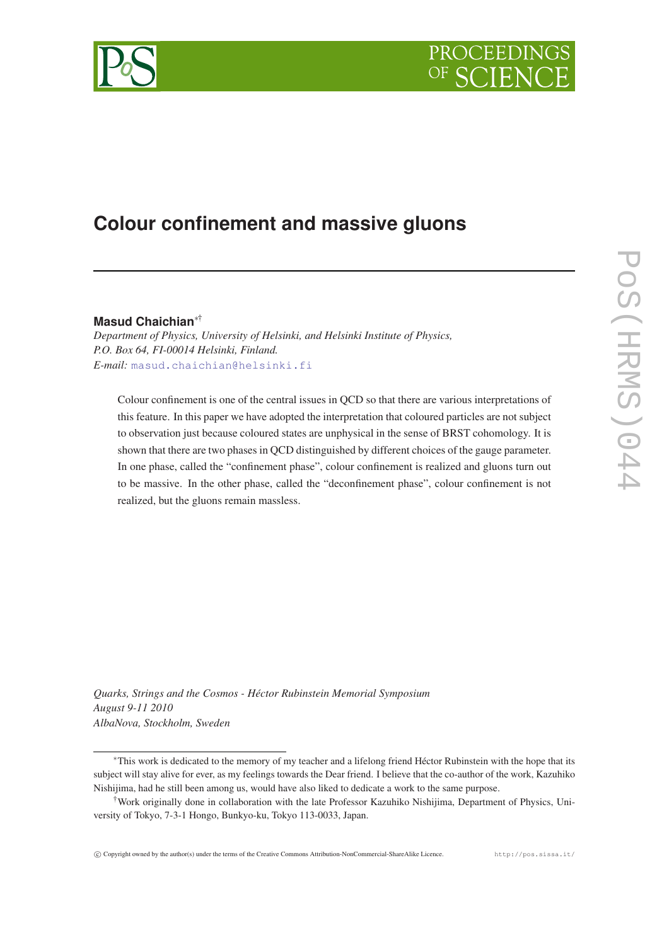



# **Colour confinement and massive gluons**

# **Masud Chaichian**∗†

*Department of Physics, University of Helsinki, and Helsinki Institute of Physics, P.O. Box 64, FI-00014 Helsinki, Finland. E-mail:* [masud.chaichian@helsinki.fi](mailto:masud.chaichian@helsinki.fi)

Colour confinement is one of the central issues in QCD so that there are various interpretations of this feature. In this paper we have adopted the interpretation that coloured particles are not subject to observation just because coloured states are unphysical in the sense of BRST cohomology. It is shown that there are two phases in QCD distinguished by different choices of the gauge parameter. In one phase, called the "confinement phase", colour confinement is realized and gluons turn out to be massive. In the other phase, called the "deconfinement phase", colour confinement is not realized, but the gluons remain massless.

*Quarks, Strings and the Cosmos - Héctor Rubinstein Memorial Symposium August 9-11 2010 AlbaNova, Stockholm, Sweden*

<sup>∗</sup>This work is dedicated to the memory of my teacher and a lifelong friend Héctor Rubinstein with the hope that its subject will stay alive for ever, as my feelings towards the Dear friend. I believe that the co-author of the work, Kazuhiko Nishijima, had he still been among us, would have also liked to dedicate a work to the same purpose.

<sup>†</sup>Work originally done in collaboration with the late Professor Kazuhiko Nishijima, Department of Physics, University of Tokyo, 7-3-1 Hongo, Bunkyo-ku, Tokyo 113-0033, Japan.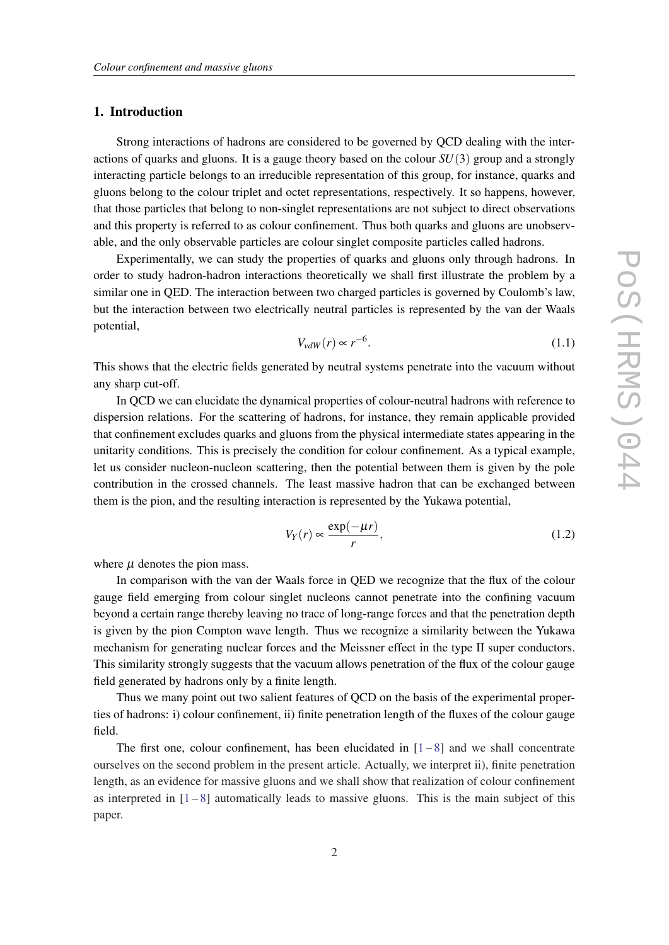## 1. Introduction

Strong interactions of hadrons are considered to be governed by QCD dealing with the interactions of quarks and gluons. It is a gauge theory based on the colour *SU*(3) group and a strongly interacting particle belongs to an irreducible representation of this group, for instance, quarks and gluons belong to the colour triplet and octet representations, respectively. It so happens, however, that those particles that belong to non-singlet representations are not subject to direct observations and this property is referred to as colour confinement. Thus both quarks and gluons are unobservable, and the only observable particles are colour singlet composite particles called hadrons.

Experimentally, we can study the properties of quarks and gluons only through hadrons. In order to study hadron-hadron interactions theoretically we shall first illustrate the problem by a similar one in QED. The interaction between two charged particles is governed by Coulomb's law, but the interaction between two electrically neutral particles is represented by the van der Waals potential,

$$
V_{vdW}(r) \propto r^{-6}.\tag{1.1}
$$

This shows that the electric fields generated by neutral systems penetrate into the vacuum without any sharp cut-off.

In QCD we can elucidate the dynamical properties of colour-neutral hadrons with reference to dispersion relations. For the scattering of hadrons, for instance, they remain applicable provided that confinement excludes quarks and gluons from the physical intermediate states appearing in the unitarity conditions. This is precisely the condition for colour confinement. As a typical example, let us consider nucleon-nucleon scattering, then the potential between them is given by the pole contribution in the crossed channels. The least massive hadron that can be exchanged between them is the pion, and the resulting interaction is represented by the Yukawa potential,

$$
V_Y(r) \propto \frac{\exp(-\mu r)}{r},\tag{1.2}
$$

where  $\mu$  denotes the pion mass.

In comparison with the van der Waals force in QED we recognize that the flux of the colour gauge field emerging from colour singlet nucleons cannot penetrate into the confining vacuum beyond a certain range thereby leaving no trace of long-range forces and that the penetration depth is given by the pion Compton wave length. Thus we recognize a similarity between the Yukawa mechanism for generating nuclear forces and the Meissner effect in the type II super conductors. This similarity strongly suggests that the vacuum allows penetration of the flux of the colour gauge field generated by hadrons only by a finite length.

Thus we many point out two salient features of QCD on the basis of the experimental properties of hadrons: i) colour confinement, ii) finite penetration length of the fluxes of the colour gauge field.

The first one, colour confinement, has been elucidated in  $[1-8]$  $[1-8]$  $[1-8]$  $[1-8]$  and we shall concentrate ourselves on the second problem in the present article. Actually, we interpret ii), finite penetration length, as an evidence for massive gluons and we shall show that realization of colour confinement as interpreted in  $[1-8]$  $[1-8]$  $[1-8]$  $[1-8]$  automatically leads to massive gluons. This is the main subject of this paper.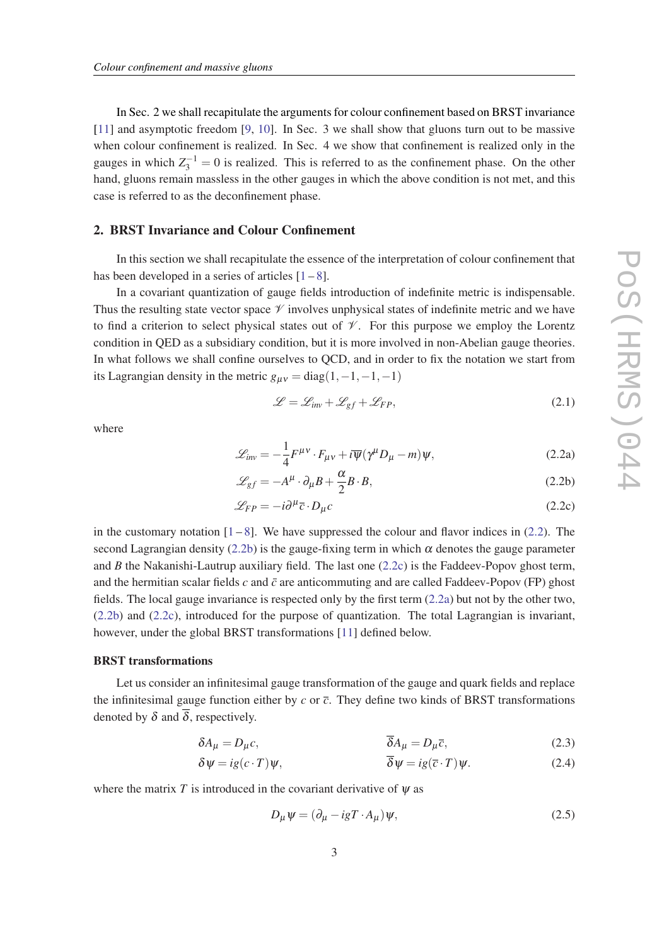<span id="page-2-0"></span>In Sec. 2 we shall recapitulate the arguments for colour confinement based on BRST invariance [[11\]](#page-12-0) and asymptotic freedom [\[9,](#page-12-0) [10](#page-12-0)]. In Sec. 3 we shall show that gluons turn out to be massive when colour confinement is realized. In Sec. 4 we show that confinement is realized only in the gauges in which  $Z_3^{-1} = 0$  is realized. This is referred to as the confinement phase. On the other hand, gluons remain massless in the other gauges in which the above condition is not met, and this case is referred to as the deconfinement phase.

# 2. BRST Invariance and Colour Confinement

In this section we shall recapitulate the essence of the interpretation of colour confinement that has been developed in a series of articles  $[1-8]$  $[1-8]$  $[1-8]$  $[1-8]$ .

In a covariant quantization of gauge fields introduction of indefinite metric is indispensable. Thus the resulting state vector space  $\mathcal V$  involves unphysical states of indefinite metric and we have to find a criterion to select physical states out of  $\mathcal V$ . For this purpose we employ the Lorentz condition in QED as a subsidiary condition, but it is more involved in non-Abelian gauge theories. In what follows we shall confine ourselves to QCD, and in order to fix the notation we start from its Lagrangian density in the metric  $g_{\mu\nu} = \text{diag}(1, -1, -1, -1)$ 

$$
\mathcal{L} = \mathcal{L}_{inv} + \mathcal{L}_{gf} + \mathcal{L}_{FP},\tag{2.1}
$$

where

$$
\mathcal{L}_{inv} = -\frac{1}{4} F^{\mu\nu} \cdot F_{\mu\nu} + i \overline{\psi} (\gamma^{\mu} D_{\mu} - m) \psi, \qquad (2.2a)
$$

$$
\mathcal{L}_{gf} = -A^{\mu} \cdot \partial_{\mu} B + \frac{\alpha}{2} B \cdot B, \qquad (2.2b)
$$

$$
\mathcal{L}_{FP} = -i\partial^{\mu}\bar{c} \cdot D_{\mu}c \tag{2.2c}
$$

in the customary notation  $[1-8]$  $[1-8]$  $[1-8]$  $[1-8]$ . We have suppressed the colour and flavor indices in (2.2). The second Lagrangian density (2.2b) is the gauge-fixing term in which  $\alpha$  denotes the gauge parameter and *B* the Nakanishi-Lautrup auxiliary field. The last one (2.2c) is the Faddeev-Popov ghost term, and the hermitian scalar fields  $c$  and  $\bar{c}$  are anticommuting and are called Faddeev-Popov (FP) ghost fields. The local gauge invariance is respected only by the first term (2.2a) but not by the other two, (2.2b) and (2.2c), introduced for the purpose of quantization. The total Lagrangian is invariant, however, under the global BRST transformations [[11\]](#page-12-0) defined below.

#### BRST transformations

Let us consider an infinitesimal gauge transformation of the gauge and quark fields and replace the infinitesimal gauge function either by  $c$  or  $\bar{c}$ . They define two kinds of BRST transformations denoted by  $\delta$  and  $\overline{\delta}$ , respectively.

$$
\delta A_{\mu} = D_{\mu} c, \qquad \overline{\delta A_{\mu}} = D_{\mu} \overline{c}, \qquad (2.3)
$$

$$
\delta \psi = ig(c \cdot T)\psi, \qquad \overline{\delta \psi} = ig(\overline{c} \cdot T)\psi. \tag{2.4}
$$

where the matrix *T* is introduced in the covariant derivative of  $\psi$  as

$$
D_{\mu}\psi = (\partial_{\mu} - igT \cdot A_{\mu})\psi, \qquad (2.5)
$$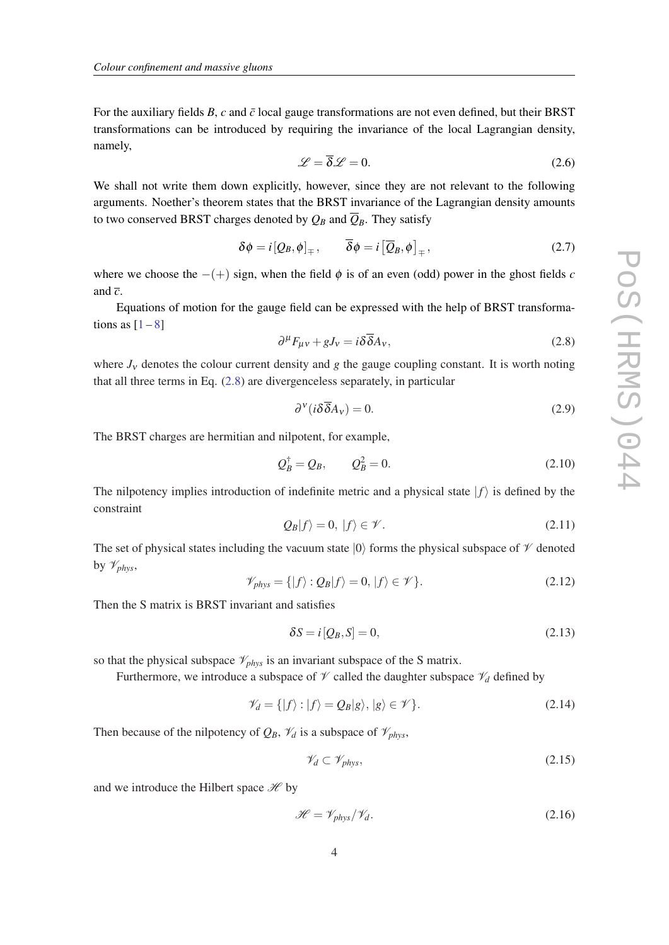<span id="page-3-0"></span>For the auxiliary fields  $B$ ,  $c$  and  $\bar{c}$  local gauge transformations are not even defined, but their BRST transformations can be introduced by requiring the invariance of the local Lagrangian density, namely,

$$
\mathcal{L} = \overline{\delta}\mathcal{L} = 0. \tag{2.6}
$$

We shall not write them down explicitly, however, since they are not relevant to the following arguments. Noether's theorem states that the BRST invariance of the Lagrangian density amounts to two conserved BRST charges denoted by  $Q_B$  and  $\overline{Q}_B$ . They satisfy

$$
\delta \phi = i \left[ Q_B, \phi \right]_{\mp}, \qquad \overline{\delta} \phi = i \left[ \overline{Q}_B, \phi \right]_{\mp}, \tag{2.7}
$$

where we choose the  $-(+)$  sign, when the field  $\phi$  is of an even (odd) power in the ghost fields *c* and  $\overline{c}$ .

Equations of motion for the gauge field can be expressed with the help of BRST transformations as  $[1-8]$  $[1-8]$  $[1-8]$  $[1-8]$ 

$$
\partial^{\mu} F_{\mu\nu} + gJ_{\nu} = i\delta \overline{\delta} A_{\nu},\tag{2.8}
$$

where  $J_v$  denotes the colour current density and *g* the gauge coupling constant. It is worth noting that all three terms in Eq. (2.8) are divergenceless separately, in particular

$$
\partial^{\nu}(i\delta\overline{\delta}A_{\nu})=0.\tag{2.9}
$$

The BRST charges are hermitian and nilpotent, for example,

$$
Q_B^{\dagger} = Q_B, \qquad Q_B^2 = 0. \tag{2.10}
$$

The nilpotency implies introduction of indefinite metric and a physical state  $|f\rangle$  is defined by the constraint

$$
Q_B|f\rangle = 0, |f\rangle \in \mathscr{V}.
$$
\n(2.11)

The set of physical states including the vacuum state  $|0\rangle$  forms the physical subspace of  $\mathcal V$  denoted by V*phys*,

$$
\mathscr{V}_{phys} = \{ |f\rangle : Q_B | f\rangle = 0, |f\rangle \in \mathscr{V} \}.
$$
\n(2.12)

Then the S matrix is BRST invariant and satisfies

$$
\delta S = i[Q_B, S] = 0,\tag{2.13}
$$

so that the physical subspace  $\mathcal{V}_{phys}$  is an invariant subspace of the S matrix.

Furthermore, we introduce a subspace of  $\mathcal V$  called the daughter subspace  $\mathcal V_d$  defined by

$$
\mathscr{V}_d = \{ |f\rangle : |f\rangle = Q_B |g\rangle, |g\rangle \in \mathscr{V} \}.
$$
\n(2.14)

Then because of the nilpotency of  $Q_B$ ,  $\mathcal{V}_d$  is a subspace of  $\mathcal{V}_{phys}$ ,

$$
\mathcal{V}_d \subset \mathcal{V}_{phys},\tag{2.15}
$$

and we introduce the Hilbert space  $\mathcal{H}$  by

$$
\mathcal{H} = \mathcal{V}_{phys} / \mathcal{V}_d. \tag{2.16}
$$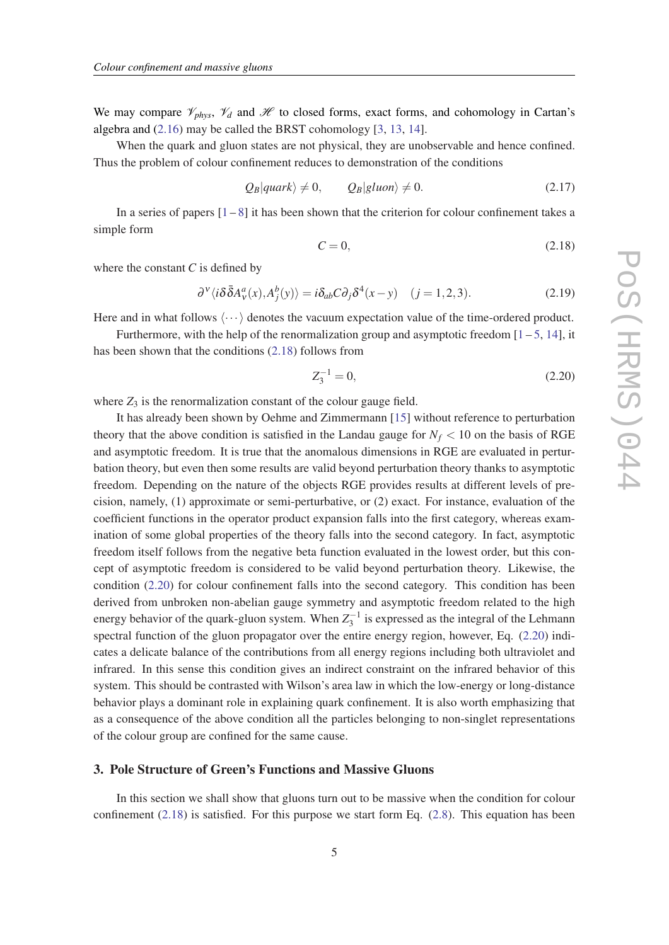<span id="page-4-0"></span>We may compare  $\mathcal{V}_{phys}$ ,  $\mathcal{V}_d$  and  $\mathcal{H}$  to closed forms, exact forms, and cohomology in Cartan's algebra and [\(2.16](#page-3-0)) may be called the BRST cohomology [\[3](#page-12-0), [13,](#page-13-0) [14](#page-13-0)].

When the quark and gluon states are not physical, they are unobservable and hence confined. Thus the problem of colour confinement reduces to demonstration of the conditions

$$
Q_B|quark\rangle \neq 0, \qquad Q_B|gluon\rangle \neq 0.
$$
 (2.17)

In a series of papers  $[1-8]$  $[1-8]$  $[1-8]$  $[1-8]$  it has been shown that the criterion for colour confinement takes a simple form

$$
C = 0,\t(2.18)
$$

where the constant *C* is defined by

$$
\partial^{\nu}\langle i\delta\bar{\delta}A^a_{\nu}(x),A^b_{j}(y)\rangle = i\delta_{ab}C\partial_{j}\delta^{4}(x-y) \quad (j=1,2,3). \tag{2.19}
$$

Here and in what follows  $\langle \cdots \rangle$  denotes the vacuum expectation value of the time-ordered product.

Furthermore, with the help of the renormalization group and asymptotic freedom  $[1 - 5, 14]$  $[1 - 5, 14]$  $[1 - 5, 14]$  $[1 - 5, 14]$  $[1 - 5, 14]$  $[1 - 5, 14]$ , it has been shown that the conditions (2.18) follows from

$$
Z_3^{-1} = 0,\t\t(2.20)
$$

where  $Z_3$  is the renormalization constant of the colour gauge field.

It has already been shown by Oehme and Zimmermann [[15\]](#page-13-0) without reference to perturbation theory that the above condition is satisfied in the Landau gauge for  $N_f < 10$  on the basis of RGE and asymptotic freedom. It is true that the anomalous dimensions in RGE are evaluated in perturbation theory, but even then some results are valid beyond perturbation theory thanks to asymptotic freedom. Depending on the nature of the objects RGE provides results at different levels of precision, namely, (1) approximate or semi-perturbative, or (2) exact. For instance, evaluation of the coefficient functions in the operator product expansion falls into the first category, whereas examination of some global properties of the theory falls into the second category. In fact, asymptotic freedom itself follows from the negative beta function evaluated in the lowest order, but this concept of asymptotic freedom is considered to be valid beyond perturbation theory. Likewise, the condition (2.20) for colour confinement falls into the second category. This condition has been derived from unbroken non-abelian gauge symmetry and asymptotic freedom related to the high energy behavior of the quark-gluon system. When  $Z_3^{-1}$  is expressed as the integral of the Lehmann spectral function of the gluon propagator over the entire energy region, however, Eq. (2.20) indicates a delicate balance of the contributions from all energy regions including both ultraviolet and infrared. In this sense this condition gives an indirect constraint on the infrared behavior of this system. This should be contrasted with Wilson's area law in which the low-energy or long-distance behavior plays a dominant role in explaining quark confinement. It is also worth emphasizing that as a consequence of the above condition all the particles belonging to non-singlet representations of the colour group are confined for the same cause.

## 3. Pole Structure of Green's Functions and Massive Gluons

In this section we shall show that gluons turn out to be massive when the condition for colour confinement  $(2.18)$  is satisfied. For this purpose we start form Eq.  $(2.8)$ . This equation has been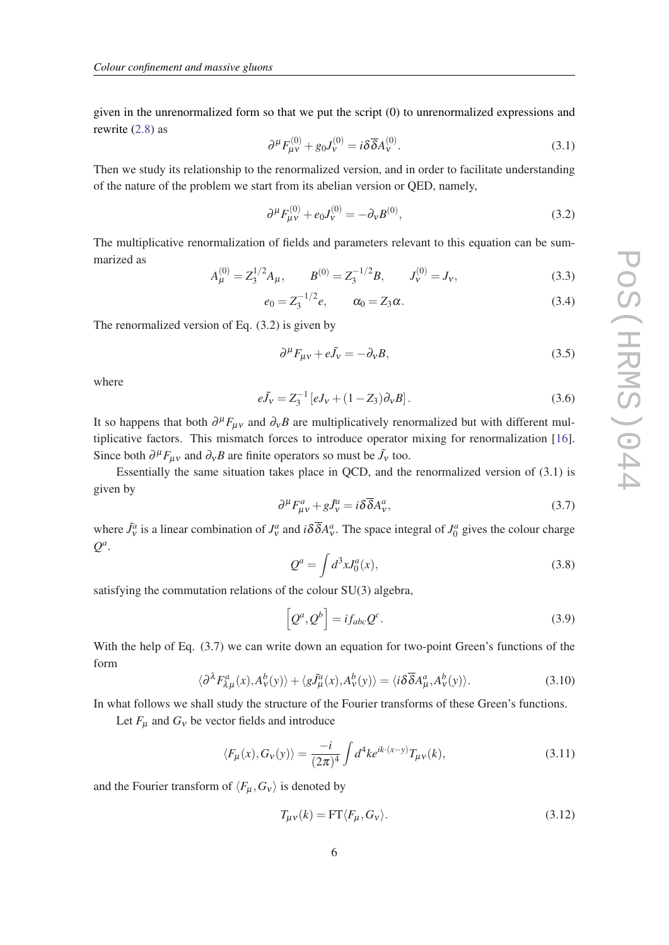given in the unrenormalized form so that we put the script (0) to unrenormalized expressions and rewrite [\(2.8\)](#page-3-0) as

$$
\partial^{\mu} F_{\mu\nu}^{(0)} + g_0 J_{\nu}^{(0)} = i \delta \overline{\delta} A_{\nu}^{(0)}.
$$
 (3.1)

Then we study its relationship to the renormalized version, and in order to facilitate understanding of the nature of the problem we start from its abelian version or QED, namely,

$$
\partial^{\mu} F_{\mu\nu}^{(0)} + e_0 J_{\nu}^{(0)} = -\partial_{\nu} B^{(0)}, \tag{3.2}
$$

The multiplicative renormalization of fields and parameters relevant to this equation can be summarized as

$$
A_{\mu}^{(0)} = Z_3^{1/2} A_{\mu}, \qquad B^{(0)} = Z_3^{-1/2} B, \qquad J_{\nu}^{(0)} = J_{\nu}, \tag{3.3}
$$

$$
e_0 = Z_3^{-1/2} e, \qquad \alpha_0 = Z_3 \alpha. \tag{3.4}
$$

The renormalized version of Eq. (3.2) is given by

$$
\partial^{\mu}F_{\mu\nu} + e\tilde{J}_{\nu} = -\partial_{\nu}B,\tag{3.5}
$$

where

$$
e\tilde{J}_V = Z_3^{-1} \left[ eJ_V + (1 - Z_3) \partial_V B \right]. \tag{3.6}
$$

It so happens that both  $\partial^{\mu}F_{\mu\nu}$  and  $\partial_{\nu}B$  are multiplicatively renormalized but with different multiplicative factors. This mismatch forces to introduce operator mixing for renormalization [[16\]](#page-13-0). Since both  $\partial^{\mu}F_{\mu\nu}$  and  $\partial_{\nu}B$  are finite operators so must be  $\tilde{J}_{\nu}$  too.

Essentially the same situation takes place in QCD, and the renormalized version of (3.1) is given by

$$
\partial^{\mu} F^{a}_{\mu\nu} + g \tilde{J}^{a}_{\nu} = i \delta \overline{\delta} A^{a}_{\nu}, \tag{3.7}
$$

where  $\tilde{J}_v^a$  is a linear combination of  $J_v^a$  and  $i\delta\bar{\delta}A_v^a$ . The space integral of  $J_0^a$  gives the colour charge *Q a* .

$$
Q^a = \int d^3x J_0^a(x),\tag{3.8}
$$

satisfying the commutation relations of the colour SU(3) algebra,

$$
\left[Q^a, Q^b\right] = i f_{abc} Q^c. \tag{3.9}
$$

With the help of Eq. (3.7) we can write down an equation for two-point Green's functions of the form

$$
\langle \partial^{\lambda} F_{\lambda\mu}^{a}(x), A_{\nu}^{b}(y) \rangle + \langle g\tilde{J}_{\mu}^{a}(x), A_{\nu}^{b}(y) \rangle = \langle i\delta\overline{\delta}A_{\mu}^{a}, A_{\nu}^{b}(y) \rangle. \tag{3.10}
$$

In what follows we shall study the structure of the Fourier transforms of these Green's functions.

Let  $F_{\mu}$  and  $G_{\nu}$  be vector fields and introduce

$$
\langle F_{\mu}(x), G_{\nu}(y) \rangle = \frac{-i}{(2\pi)^4} \int d^4k e^{ik \cdot (x-y)} T_{\mu\nu}(k), \tag{3.11}
$$

and the Fourier transform of  $\langle F_\mu, G_v \rangle$  is denoted by

$$
T_{\mu\nu}(k) = \text{FT}\langle F_{\mu}, G_{\nu} \rangle. \tag{3.12}
$$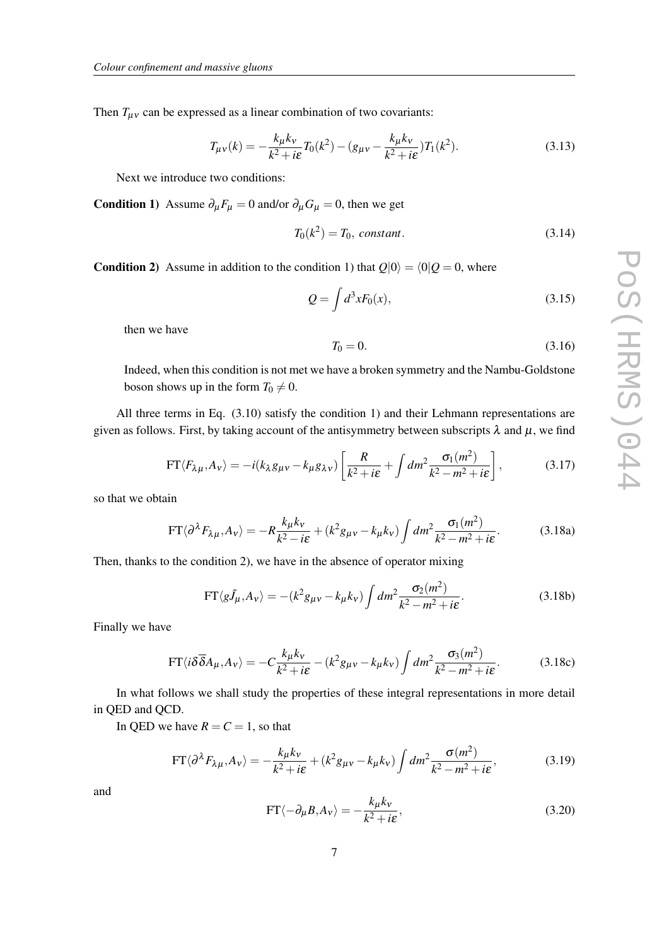Then  $T_{\mu\nu}$  can be expressed as a linear combination of two covariants:

$$
T_{\mu\nu}(k) = -\frac{k_{\mu}k_{\nu}}{k^2 + i\epsilon}T_0(k^2) - (g_{\mu\nu} - \frac{k_{\mu}k_{\nu}}{k^2 + i\epsilon})T_1(k^2).
$$
 (3.13)

Next we introduce two conditions:

**Condition 1**) Assume  $\partial_{\mu}F_{\mu} = 0$  and/or  $\partial_{\mu}G_{\mu} = 0$ , then we get

$$
T_0(k^2) = T_0, \text{ constant.} \tag{3.14}
$$

**Condition 2)** Assume in addition to the condition 1) that  $Q|0\rangle = \langle 0|Q = 0$ , where

$$
Q = \int d^3x F_0(x),\tag{3.15}
$$

then we have

$$
T_0 = 0.\t\t(3.16)
$$

Indeed, when this condition is not met we have a broken symmetry and the Nambu-Goldstone boson shows up in the form  $T_0 \neq 0$ .

All three terms in Eq.  $(3.10)$  satisfy the condition 1) and their Lehmann representations are given as follows. First, by taking account of the antisymmetry between subscripts  $\lambda$  and  $\mu$ , we find

$$
FT\langle F_{\lambda\mu}, A_{\nu}\rangle = -i(k_{\lambda}g_{\mu\nu} - k_{\mu}g_{\lambda\nu})\left[\frac{R}{k^2 + i\epsilon} + \int dm^2 \frac{\sigma_1(m^2)}{k^2 - m^2 + i\epsilon}\right],
$$
 (3.17)

so that we obtain

$$
FT\langle \partial^{\lambda} F_{\lambda\mu}, A_{\nu} \rangle = -R \frac{k_{\mu} k_{\nu}}{k^2 - i\epsilon} + (k^2 g_{\mu\nu} - k_{\mu} k_{\nu}) \int dm^2 \frac{\sigma_1(m^2)}{k^2 - m^2 + i\epsilon}.
$$
 (3.18a)

Then, thanks to the condition 2), we have in the absence of operator mixing

$$
\text{FT}\langle g\tilde{J}_{\mu}, A_{\nu}\rangle = -(k^2 g_{\mu\nu} - k_{\mu} k_{\nu}) \int dm^2 \frac{\sigma_2(m^2)}{k^2 - m^2 + i\epsilon}.
$$
 (3.18b)

Finally we have

$$
FT\langle i\delta\overline{\delta}A_{\mu}, A_{\nu}\rangle = -C\frac{k_{\mu}k_{\nu}}{k^2 + i\epsilon} - (k^2g_{\mu\nu} - k_{\mu}k_{\nu})\int dm^2 \frac{\sigma_3(m^2)}{k^2 - m^2 + i\epsilon}.
$$
 (3.18c)

In what follows we shall study the properties of these integral representations in more detail in QED and QCD.

In QED we have  $R = C = 1$ , so that

$$
FT\langle \partial^{\lambda} F_{\lambda\mu}, A_{\nu} \rangle = -\frac{k_{\mu}k_{\nu}}{k^2 + i\epsilon} + (k^2 g_{\mu\nu} - k_{\mu}k_{\nu}) \int dm^2 \frac{\sigma(m^2)}{k^2 - m^2 + i\epsilon},
$$
(3.19)

and

$$
\text{FT}\langle -\partial_{\mu}B, A_{\nu} \rangle = -\frac{k_{\mu}k_{\nu}}{k^2 + i\epsilon},\tag{3.20}
$$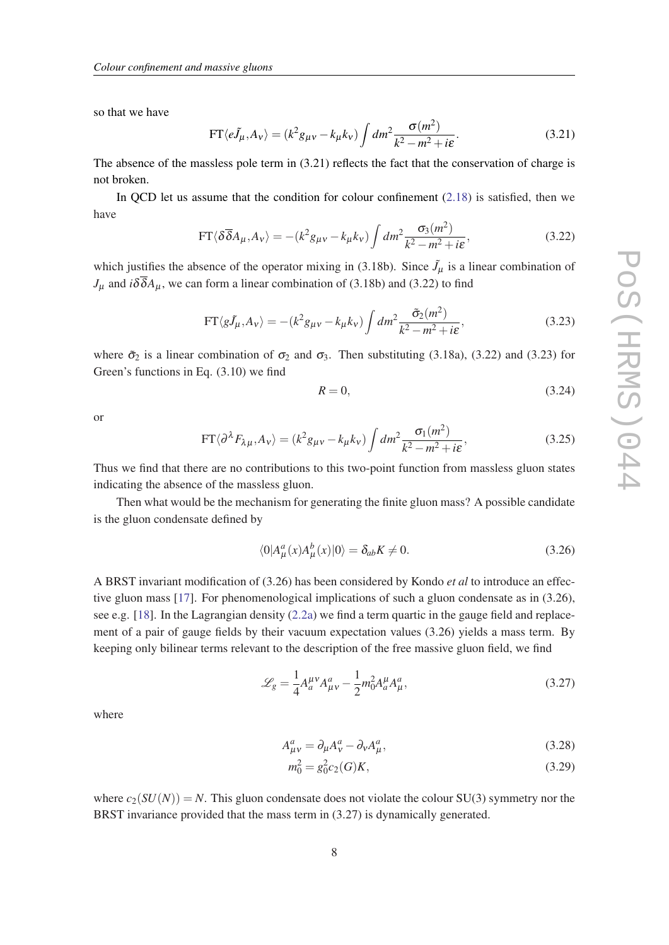so that we have

$$
FT\langle e\tilde{J}_{\mu}, A_{\nu}\rangle = (k^2 g_{\mu\nu} - k_{\mu} k_{\nu}) \int dm^2 \frac{\sigma(m^2)}{k^2 - m^2 + i\epsilon}.
$$
 (3.21)

The absence of the massless pole term in (3.21) reflects the fact that the conservation of charge is not broken.

In QCD let us assume that the condition for colour confinement  $(2.18)$  $(2.18)$  is satisfied, then we have

$$
FT\langle \delta \overline{\delta} A_{\mu}, A_{\nu} \rangle = -(k^2 g_{\mu\nu} - k_{\mu} k_{\nu}) \int dm^2 \frac{\sigma_3(m^2)}{k^2 - m^2 + i\epsilon},
$$
 (3.22)

which justifies the absence of the operator mixing in (3.18b). Since  $\tilde{J}_{\mu}$  is a linear combination of  $J_{\mu}$  and *i* $\delta \delta A_{\mu}$ , we can form a linear combination of (3.18b) and (3.22) to find

$$
FT\langle g\tilde{J}_{\mu}, A_{\nu}\rangle = -(k^2 g_{\mu\nu} - k_{\mu} k_{\nu}) \int dm^2 \frac{\tilde{\sigma}_2(m^2)}{k^2 - m^2 + i\epsilon},
$$
\n(3.23)

where  $\tilde{\sigma}_2$  is a linear combination of  $\sigma_2$  and  $\sigma_3$ . Then substituting (3.18a), (3.22) and (3.23) for Green's functions in Eq. (3.10) we find

$$
R = 0,\t\t(3.24)
$$

or

$$
FT\langle \partial^{\lambda} F_{\lambda\mu}, A_{\nu} \rangle = (k^2 g_{\mu\nu} - k_{\mu} k_{\nu}) \int dm^2 \frac{\sigma_1(m^2)}{k^2 - m^2 + i\epsilon},
$$
\n(3.25)

Thus we find that there are no contributions to this two-point function from massless gluon states indicating the absence of the massless gluon.

Then what would be the mechanism for generating the finite gluon mass? A possible candidate is the gluon condensate defined by

$$
\langle 0|A^a_\mu(x)A^b_\mu(x)|0\rangle = \delta_{ab}K \neq 0. \tag{3.26}
$$

A BRST invariant modification of (3.26) has been considered by Kondo *et al* to introduce an effective gluon mass [\[17](#page-13-0)]. For phenomenological implications of such a gluon condensate as in (3.26), see e.g. [\[18](#page-13-0)]. In the Lagrangian density ([2.2a](#page-2-0)) we find a term quartic in the gauge field and replacement of a pair of gauge fields by their vacuum expectation values (3.26) yields a mass term. By keeping only bilinear terms relevant to the description of the free massive gluon field, we find

$$
\mathcal{L}_{g} = \frac{1}{4} A_{a}^{\mu\nu} A_{\mu\nu}^{a} - \frac{1}{2} m_{0}^{2} A_{a}^{\mu} A_{\mu}^{a}, \qquad (3.27)
$$

where

$$
A^a_{\mu\nu} = \partial_\mu A^a_\nu - \partial_\nu A^a_\mu,\tag{3.28}
$$

$$
m_0^2 = g_0^2 c_2(G) K, \tag{3.29}
$$

where  $c_2(SU(N)) = N$ . This gluon condensate does not violate the colour SU(3) symmetry nor the BRST invariance provided that the mass term in  $(3.27)$  is dynamically generated.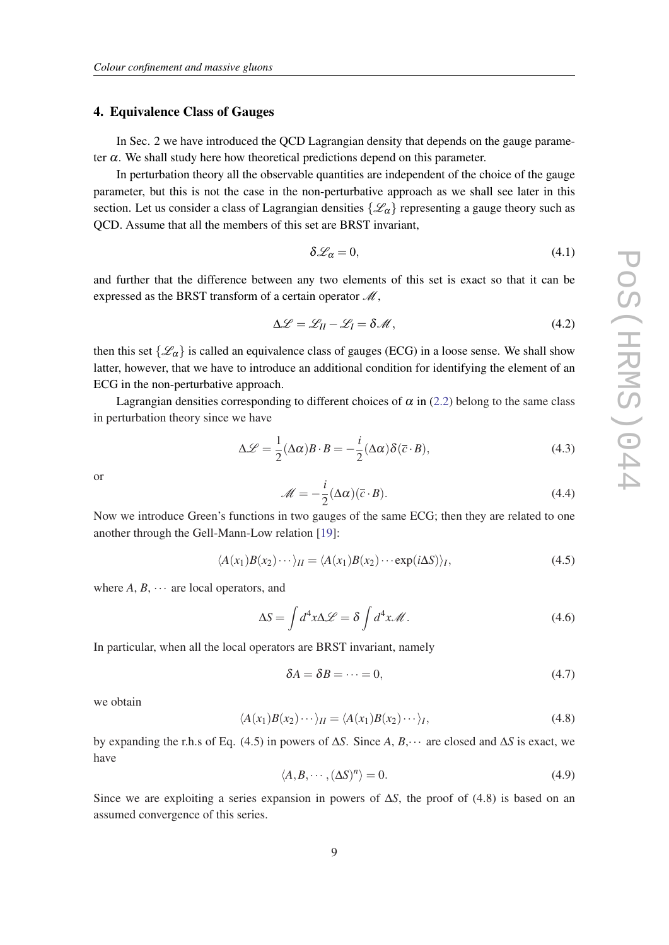#### 4. Equivalence Class of Gauges

In Sec. 2 we have introduced the QCD Lagrangian density that depends on the gauge parameter  $\alpha$ . We shall study here how theoretical predictions depend on this parameter.

In perturbation theory all the observable quantities are independent of the choice of the gauge parameter, but this is not the case in the non-perturbative approach as we shall see later in this section. Let us consider a class of Lagrangian densities  $\{\mathscr{L}_{\alpha}\}\$  representing a gauge theory such as QCD. Assume that all the members of this set are BRST invariant,

$$
\delta \mathcal{L}_{\alpha} = 0, \tag{4.1}
$$

and further that the difference between any two elements of this set is exact so that it can be expressed as the BRST transform of a certain operator  $\mathcal{M}$ ,

$$
\Delta \mathcal{L} = \mathcal{L}_{II} - \mathcal{L}_I = \delta \mathcal{M},\qquad(4.2)
$$

then this set  $\{\mathscr{L}_{\alpha}\}\$  is called an equivalence class of gauges (ECG) in a loose sense. We shall show latter, however, that we have to introduce an additional condition for identifying the element of an ECG in the non-perturbative approach.

Lagrangian densities corresponding to different choices of  $\alpha$  in ([2.2\)](#page-2-0) belong to the same class in perturbation theory since we have

$$
\Delta \mathcal{L} = \frac{1}{2} (\Delta \alpha) B \cdot B = -\frac{i}{2} (\Delta \alpha) \delta(\overline{c} \cdot B), \tag{4.3}
$$

or

$$
\mathcal{M} = -\frac{i}{2} (\Delta \alpha)(\overline{c} \cdot B). \tag{4.4}
$$

Now we introduce Green's functions in two gauges of the same ECG; then they are related to one another through the Gell-Mann-Low relation [\[19](#page-13-0)]:

$$
\langle A(x_1)B(x_2)\cdots\rangle_H = \langle A(x_1)B(x_2)\cdots \exp(i\Delta S)\rangle_I,
$$
\n(4.5)

where  $A, B, \cdots$  are local operators, and

$$
\Delta S = \int d^4x \Delta \mathcal{L} = \delta \int d^4x \mathcal{M}.
$$
 (4.6)

In particular, when all the local operators are BRST invariant, namely

$$
\delta A = \delta B = \dots = 0,\tag{4.7}
$$

we obtain

$$
\langle A(x_1)B(x_2)\cdots\rangle_{II} = \langle A(x_1)B(x_2)\cdots\rangle_{I},\tag{4.8}
$$

by expanding the r.h.s of Eq. (4.5) in powers of ∆*S*. Since *A*, *B*,··· are closed and ∆*S* is exact, we have

$$
\langle A, B, \cdots, (\Delta S)^n \rangle = 0. \tag{4.9}
$$

Since we are exploiting a series expansion in powers of ∆*S*, the proof of (4.8) is based on an assumed convergence of this series.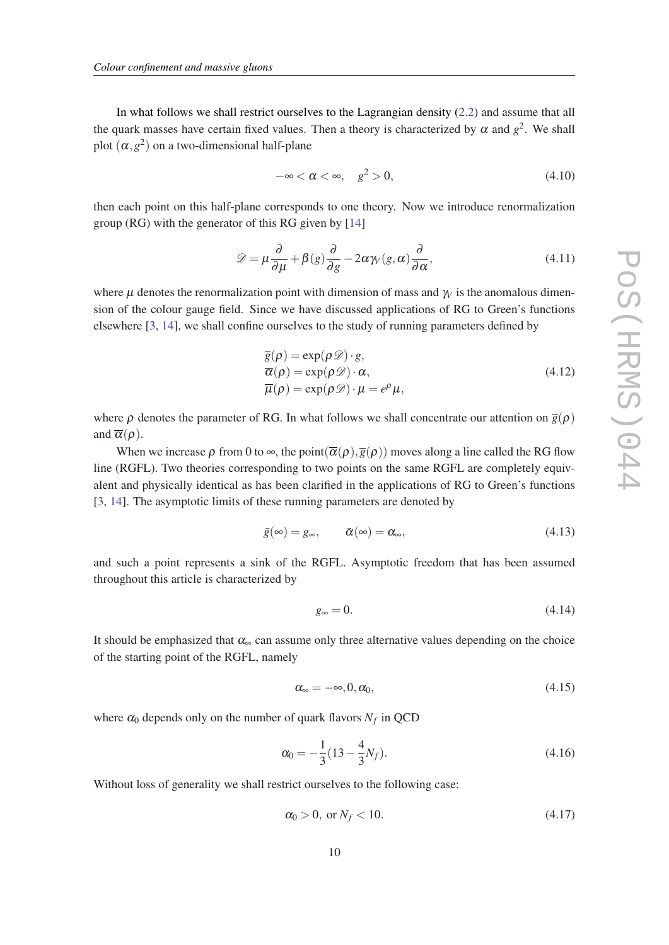In what follows we shall restrict ourselves to the Lagrangian density [\(2.2](#page-2-0)) and assume that all the quark masses have certain fixed values. Then a theory is characterized by  $\alpha$  and  $g^2$ . We shall plot  $(\alpha, g^2)$  on a two-dimensional half-plane

$$
-\infty < \alpha < \infty, \quad g^2 > 0,\tag{4.10}
$$

then each point on this half-plane corresponds to one theory. Now we introduce renormalization group (RG) with the generator of this RG given by [[14\]](#page-13-0)

$$
\mathcal{D} = \mu \frac{\partial}{\partial \mu} + \beta(g) \frac{\partial}{\partial g} - 2\alpha \gamma(g, \alpha) \frac{\partial}{\partial \alpha},
$$
(4.11)

where *u* denotes the renormalization point with dimension of mass and  $\gamma$  is the anomalous dimension of the colour gauge field. Since we have discussed applications of RG to Green's functions elsewhere [\[3](#page-12-0), [14\]](#page-13-0), we shall confine ourselves to the study of running parameters defined by

$$
\overline{g}(\rho) = \exp(\rho \mathcal{D}) \cdot g,\n\overline{\alpha}(\rho) = \exp(\rho \mathcal{D}) \cdot \alpha,\n\overline{\mu}(\rho) = \exp(\rho \mathcal{D}) \cdot \mu = e^{\rho} \mu,
$$
\n(4.12)

where  $\rho$  denotes the parameter of RG. In what follows we shall concentrate our attention on  $\bar{g}(\rho)$ and  $\overline{\alpha}(\rho)$ .

When we increase  $\rho$  from 0 to  $\infty$ , the point( $\overline{\alpha}(\rho), \overline{\beta}(\rho)$ ) moves along a line called the RG flow line (RGFL). Two theories corresponding to two points on the same RGFL are completely equivalent and physically identical as has been clarified in the applications of RG to Green's functions [[3](#page-12-0), [14\]](#page-13-0). The asymptotic limits of these running parameters are denoted by

$$
\bar{g}(\infty) = g_{\infty}, \qquad \bar{\alpha}(\infty) = \alpha_{\infty}, \tag{4.13}
$$

and such a point represents a sink of the RGFL. Asymptotic freedom that has been assumed throughout this article is characterized by

$$
g_{\infty} = 0. \tag{4.14}
$$

It should be emphasized that  $\alpha_{\infty}$  can assume only three alternative values depending on the choice of the starting point of the RGFL, namely

$$
\alpha_{\infty} = -\infty, 0, \alpha_0, \tag{4.15}
$$

where  $\alpha_0$  depends only on the number of quark flavors  $N_f$  in QCD

$$
\alpha_0 = -\frac{1}{3}(13 - \frac{4}{3}N_f). \tag{4.16}
$$

Without loss of generality we shall restrict ourselves to the following case:

$$
\alpha_0 > 0, \text{ or } N_f < 10. \tag{4.17}
$$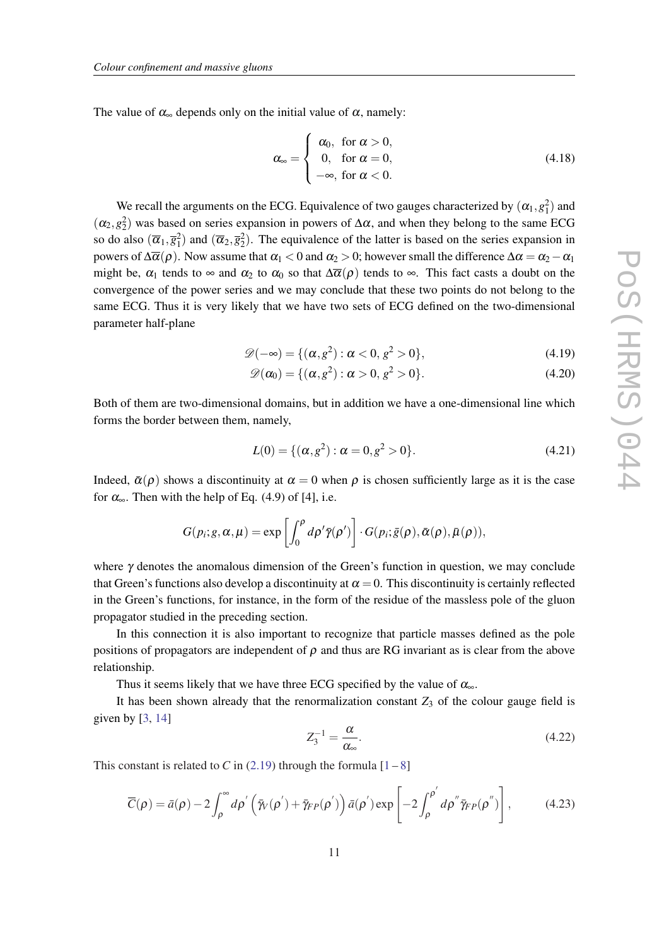The value of  $\alpha_{\infty}$  depends only on the initial value of  $\alpha$ , namely:

$$
\alpha_{\infty} = \begin{cases}\n\alpha_0, & \text{for } \alpha > 0, \\
0, & \text{for } \alpha = 0, \\
-\infty, & \text{for } \alpha < 0.\n\end{cases}
$$
\n(4.18)

We recall the arguments on the ECG. Equivalence of two gauges characterized by  $(\alpha_1, g_1^2)$  and  $(\alpha_2, \alpha_2^2)$  was based on series expansion in powers of  $\Delta \alpha$ , and when they belong to the same ECG so do also  $(\overline{\alpha}_1, \overline{\alpha}_1^2)$  and  $(\overline{\alpha}_2, \overline{\alpha}_2^2)$ . The equivalence of the latter is based on the series expansion in powers of  $\Delta\overline{\alpha}(\rho)$ . Now assume that  $\alpha_1 < 0$  and  $\alpha_2 > 0$ ; however small the difference  $\Delta\alpha = \alpha_2 - \alpha_1$ might be,  $\alpha_1$  tends to  $\infty$  and  $\alpha_2$  to  $\alpha_0$  so that  $\Delta \overline{\alpha}(\rho)$  tends to  $\infty$ . This fact casts a doubt on the convergence of the power series and we may conclude that these two points do not belong to the same ECG. Thus it is very likely that we have two sets of ECG defined on the two-dimensional parameter half-plane

$$
\mathscr{D}(-\infty) = \{ (\alpha, g^2) : \alpha < 0, g^2 > 0 \},\tag{4.19}
$$

$$
\mathscr{D}(\alpha_0) = \{ (\alpha, g^2) : \alpha > 0, g^2 > 0 \}.
$$
\n
$$
(4.20)
$$

Both of them are two-dimensional domains, but in addition we have a one-dimensional line which forms the border between them, namely,

$$
L(0) = \{ (\alpha, g^2) : \alpha = 0, g^2 > 0 \}.
$$
 (4.21)

Indeed,  $\bar{\alpha}(\rho)$  shows a discontinuity at  $\alpha = 0$  when  $\rho$  is chosen sufficiently large as it is the case for  $\alpha_{\infty}$ . Then with the help of Eq. (4.9) of [4], i.e.

$$
G(p_i; g, \alpha, \mu) = \exp \left[ \int_0^{\rho} d\rho' \bar{\gamma}(\rho') \right] \cdot G(p_i; \bar{g}(\rho), \bar{\alpha}(\rho), \bar{\mu}(\rho)),
$$

where  $\gamma$  denotes the anomalous dimension of the Green's function in question, we may conclude that Green's functions also develop a discontinuity at  $\alpha = 0$ . This discontinuity is certainly reflected in the Green's functions, for instance, in the form of the residue of the massless pole of the gluon propagator studied in the preceding section.

In this connection it is also important to recognize that particle masses defined as the pole positions of propagators are independent of  $\rho$  and thus are RG invariant as is clear from the above relationship.

Thus it seems likely that we have three ECG specified by the value of  $\alpha_{\infty}$ .

It has been shown already that the renormalization constant  $Z_3$  of the colour gauge field is given by  $[3, 14]$  $[3, 14]$  $[3, 14]$ 

$$
Z_3^{-1} = \frac{\alpha}{\alpha_{\infty}}.\tag{4.22}
$$

This constant is related to *C* in ([2.19\)](#page-4-0) through the formula  $[1-8]$  $[1-8]$  $[1-8]$  $[1-8]$ 

$$
\overline{C}(\rho) = \bar{a}(\rho) - 2 \int_{\rho}^{\infty} d\rho' \left( \bar{\gamma}_{V}(\rho') + \bar{\gamma}_{FP}(\rho') \right) \bar{a}(\rho') \exp \left[ -2 \int_{\rho}^{\rho'} d\rho'' \bar{\gamma}_{FP}(\rho'') \right],
$$
(4.23)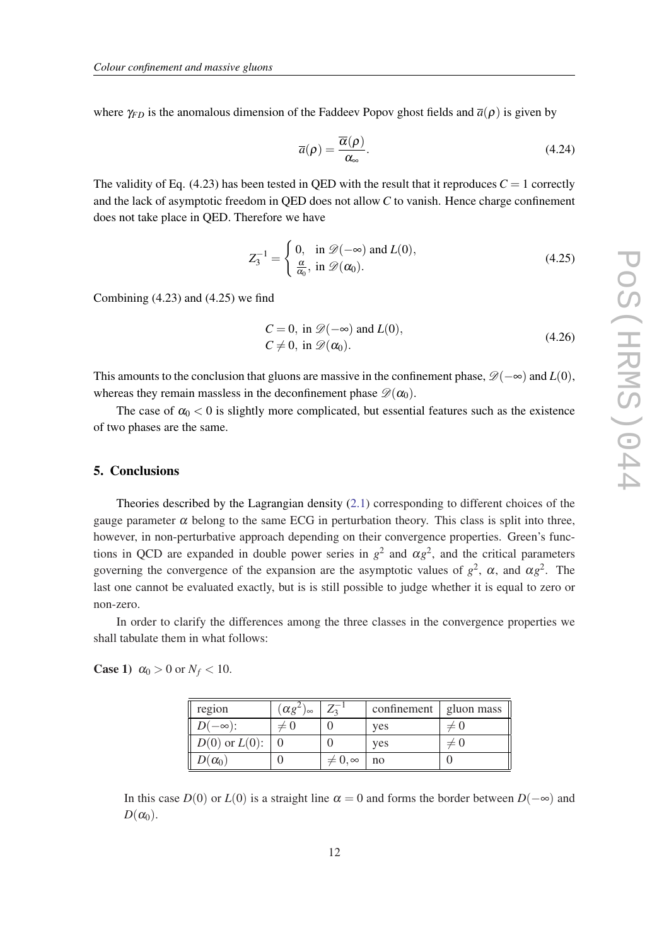where  $\gamma_{FD}$  is the anomalous dimension of the Faddeev Popov ghost fields and  $\overline{a}(\rho)$  is given by

$$
\overline{a}(\rho) = \frac{\overline{\alpha}(\rho)}{\alpha_{\infty}}.
$$
\n(4.24)

The validity of Eq.  $(4.23)$  has been tested in QED with the result that it reproduces  $C = 1$  correctly and the lack of asymptotic freedom in QED does not allow *C* to vanish. Hence charge confinement does not take place in QED. Therefore we have

$$
Z_3^{-1} = \begin{cases} 0, & \text{in } \mathcal{D}(-\infty) \text{ and } L(0), \\ \frac{\alpha}{\alpha_0}, & \text{in } \mathcal{D}(\alpha_0). \end{cases}
$$
 (4.25)

Combining (4.23) and (4.25) we find

$$
C = 0, \text{ in } \mathcal{D}(-\infty) \text{ and } L(0),
$$
  
\n
$$
C \neq 0, \text{ in } \mathcal{D}(\alpha_0).
$$
\n(4.26)

This amounts to the conclusion that gluons are massive in the confinement phase,  $\mathcal{D}(-\infty)$  and  $L(0)$ , whereas they remain massless in the deconfinement phase  $\mathscr{D}(\alpha_0)$ .

The case of  $\alpha_0 < 0$  is slightly more complicated, but essential features such as the existence of two phases are the same.

### 5. Conclusions

Theories described by the Lagrangian density [\(2.1\)](#page-2-0) corresponding to different choices of the gauge parameter  $\alpha$  belong to the same ECG in perturbation theory. This class is split into three, however, in non-perturbative approach depending on their convergence properties. Green's functions in QCD are expanded in double power series in  $g^2$  and  $\alpha g^2$ , and the critical parameters governing the convergence of the expansion are the asymptotic values of  $g^2$ ,  $\alpha$ , and  $\alpha g^2$ . The last one cannot be evaluated exactly, but is is still possible to judge whether it is equal to zero or non-zero.

In order to clarify the differences among the three classes in the convergence properties we shall tabulate them in what follows:

# **Case 1)**  $\alpha_0 > 0$  or  $N_f < 10$ .

| region             | $(\alpha g^2)$<br>J∞ |                  | confinement | gluon mass |
|--------------------|----------------------|------------------|-------------|------------|
| $D(-\infty)$ :     | $\neq$ ()            |                  | ves         | ΞU         |
| $D(0)$ or $L(0)$ : |                      |                  | ves         | $+$ $+$    |
| $D(\alpha_0)$      |                      | $\neq 0, \infty$ | no          |            |

In this case *D*(0) or *L*(0) is a straight line  $\alpha = 0$  and forms the border between *D*( $-\infty$ ) and  $D(\alpha_0)$ .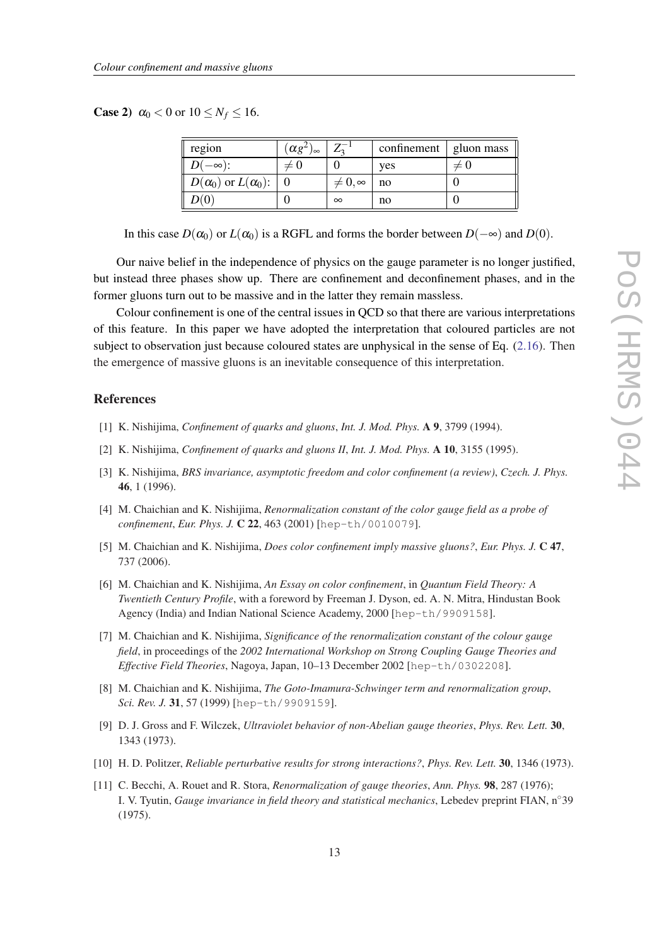<span id="page-12-0"></span>**Case 2)**  $\alpha_0 < 0$  or  $10 \le N_f \le 16$ .

| region                           | $(\alpha g^2)$<br>$1\infty$ |                  | confinement $\vert$ gluon mass |           |
|----------------------------------|-----------------------------|------------------|--------------------------------|-----------|
| $D(-\infty)$ :                   | $\neq$ ()                   |                  | ves                            | $\neq$ () |
| $D(\alpha_0)$ or $L(\alpha_0)$ : |                             | $\neq 0, \infty$ | no                             |           |
| D(0)                             |                             | $\infty$         | no                             |           |

In this case  $D(\alpha_0)$  or  $L(\alpha_0)$  is a RGFL and forms the border between  $D(-\infty)$  and  $D(0)$ .

Our naive belief in the independence of physics on the gauge parameter is no longer justified, but instead three phases show up. There are confinement and deconfinement phases, and in the former gluons turn out to be massive and in the latter they remain massless.

Colour confinement is one of the central issues in QCD so that there are various interpretations of this feature. In this paper we have adopted the interpretation that coloured particles are not subject to observation just because coloured states are unphysical in the sense of Eq. [\(2.16](#page-3-0)). Then the emergence of massive gluons is an inevitable consequence of this interpretation.

## References

- [1] K. Nishijima, *Confinement of quarks and gluons*, *Int. J. Mod. Phys.* A 9, 3799 (1994).
- [2] K. Nishijima, *Confinement of quarks and gluons II*, *Int. J. Mod. Phys.* A 10, 3155 (1995).
- [3] K. Nishijima, *BRS invariance, asymptotic freedom and color confinement (a review)*, *Czech. J. Phys.* 46, 1 (1996).
- [4] M. Chaichian and K. Nishijima, *Renormalization constant of the color gauge field as a probe of confinement*, *Eur. Phys. J.* C 22, 463 (2001) [hep-th/0010079].
- [5] M. Chaichian and K. Nishijima, *Does color confinement imply massive gluons?*, *Eur. Phys. J.* C 47, 737 (2006).
- [6] M. Chaichian and K. Nishijima, *An Essay on color confinement*, in *Quantum Field Theory: A Twentieth Century Profile*, with a foreword by Freeman J. Dyson, ed. A. N. Mitra, Hindustan Book Agency (India) and Indian National Science Academy, 2000 [hep-th/9909158].
- [7] M. Chaichian and K. Nishijima, *Significance of the renormalization constant of the colour gauge field*, in proceedings of the *2002 International Workshop on Strong Coupling Gauge Theories and Effective Field Theories*, Nagoya, Japan, 10–13 December 2002 [hep-th/0302208].
- [8] M. Chaichian and K. Nishijima, *The Goto-Imamura-Schwinger term and renormalization group*, *Sci. Rev. J.* 31, 57 (1999) [hep-th/9909159].
- [9] D. J. Gross and F. Wilczek, *Ultraviolet behavior of non-Abelian gauge theories*, *Phys. Rev. Lett.* 30, 1343 (1973).
- [10] H. D. Politzer, *Reliable perturbative results for strong interactions?*, *Phys. Rev. Lett.* 30, 1346 (1973).
- [11] C. Becchi, A. Rouet and R. Stora, *Renormalization of gauge theories*, *Ann. Phys.* 98, 287 (1976); I. V. Tyutin, *Gauge invariance in field theory and statistical mechanics*, Lebedev preprint FIAN, n◦39 (1975).